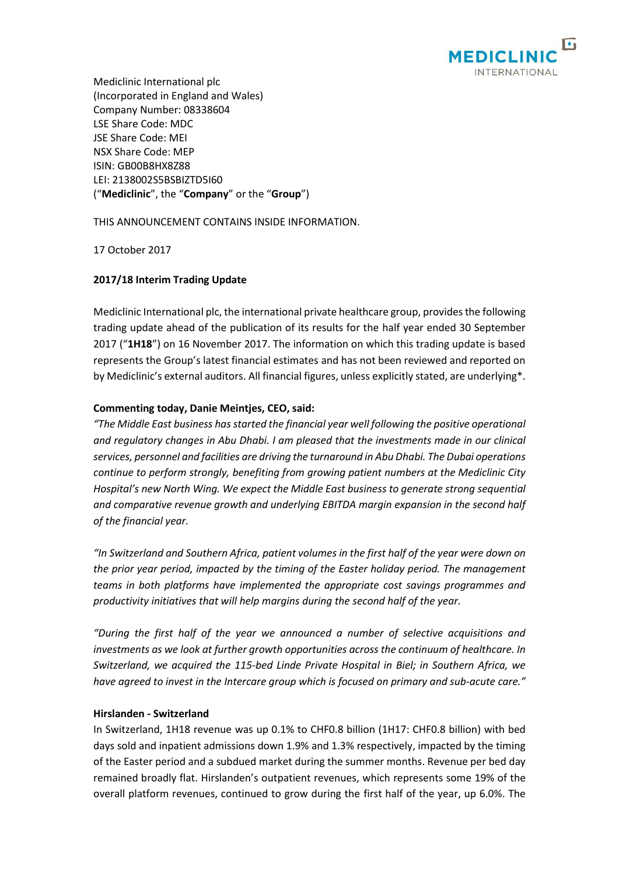

Mediclinic International plc (Incorporated in England and Wales) Company Number: 08338604 LSE Share Code: MDC JSE Share Code: MEI NSX Share Code: MEP ISIN: GB00B8HX8Z88 LEI: 2138002S5BSBIZTD5I60 ("**Mediclinic**", the "**Company**" or the "**Group**")

THIS ANNOUNCEMENT CONTAINS INSIDE INFORMATION.

17 October 2017

# **2017/18 Interim Trading Update**

Mediclinic International plc, the international private healthcare group, provides the following trading update ahead of the publication of its results for the half year ended 30 September 2017 ("**1H18**") on 16 November 2017. The information on which this trading update is based represents the Group's latest financial estimates and has not been reviewed and reported on by Mediclinic's external auditors. All financial figures, unless explicitly stated, are underlying\*.

## **Commenting today, Danie Meintjes, CEO, said:**

*"The Middle East business has started the financial year well following the positive operational and regulatory changes in Abu Dhabi. I am pleased that the investments made in our clinical services, personnel and facilities are driving the turnaround in Abu Dhabi. The Dubai operations continue to perform strongly, benefiting from growing patient numbers at the Mediclinic City Hospital's new North Wing. We expect the Middle East business to generate strong sequential and comparative revenue growth and underlying EBITDA margin expansion in the second half of the financial year.*

*"In Switzerland and Southern Africa, patient volumes in the first half of the year were down on the prior year period, impacted by the timing of the Easter holiday period. The management teams in both platforms have implemented the appropriate cost savings programmes and productivity initiatives that will help margins during the second half of the year.*

*"During the first half of the year we announced a number of selective acquisitions and investments as we look at further growth opportunities across the continuum of healthcare. In Switzerland, we acquired the 115-bed Linde Private Hospital in Biel; in Southern Africa, we have agreed to invest in the Intercare group which is focused on primary and sub-acute care."*

## **Hirslanden - Switzerland**

In Switzerland, 1H18 revenue was up 0.1% to CHF0.8 billion (1H17: CHF0.8 billion) with bed days sold and inpatient admissions down 1.9% and 1.3% respectively, impacted by the timing of the Easter period and a subdued market during the summer months. Revenue per bed day remained broadly flat. Hirslanden's outpatient revenues, which represents some 19% of the overall platform revenues, continued to grow during the first half of the year, up 6.0%. The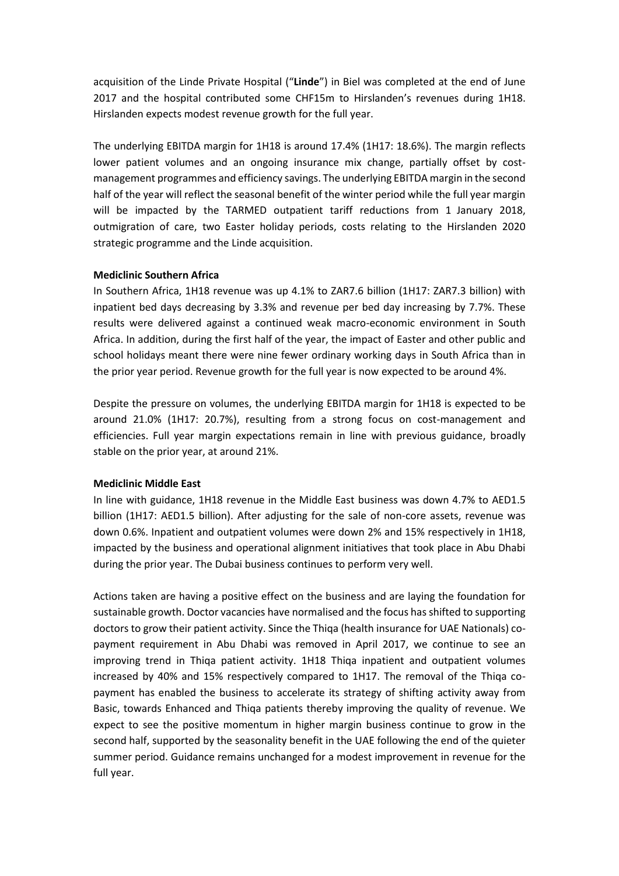acquisition of the Linde Private Hospital ("**Linde**") in Biel was completed at the end of June 2017 and the hospital contributed some CHF15m to Hirslanden's revenues during 1H18. Hirslanden expects modest revenue growth for the full year.

The underlying EBITDA margin for 1H18 is around 17.4% (1H17: 18.6%). The margin reflects lower patient volumes and an ongoing insurance mix change, partially offset by costmanagement programmes and efficiency savings. The underlying EBITDA margin in the second half of the year will reflect the seasonal benefit of the winter period while the full year margin will be impacted by the TARMED outpatient tariff reductions from 1 January 2018, outmigration of care, two Easter holiday periods, costs relating to the Hirslanden 2020 strategic programme and the Linde acquisition.

## **Mediclinic Southern Africa**

In Southern Africa, 1H18 revenue was up 4.1% to ZAR7.6 billion (1H17: ZAR7.3 billion) with inpatient bed days decreasing by 3.3% and revenue per bed day increasing by 7.7%. These results were delivered against a continued weak macro-economic environment in South Africa. In addition, during the first half of the year, the impact of Easter and other public and school holidays meant there were nine fewer ordinary working days in South Africa than in the prior year period. Revenue growth for the full year is now expected to be around 4%.

Despite the pressure on volumes, the underlying EBITDA margin for 1H18 is expected to be around 21.0% (1H17: 20.7%), resulting from a strong focus on cost-management and efficiencies. Full year margin expectations remain in line with previous guidance, broadly stable on the prior year, at around 21%.

## **Mediclinic Middle East**

In line with guidance, 1H18 revenue in the Middle East business was down 4.7% to AED1.5 billion (1H17: AED1.5 billion). After adjusting for the sale of non-core assets, revenue was down 0.6%. Inpatient and outpatient volumes were down 2% and 15% respectively in 1H18, impacted by the business and operational alignment initiatives that took place in Abu Dhabi during the prior year. The Dubai business continues to perform very well.

Actions taken are having a positive effect on the business and are laying the foundation for sustainable growth. Doctor vacancies have normalised and the focus has shifted to supporting doctors to grow their patient activity. Since the Thiqa (health insurance for UAE Nationals) copayment requirement in Abu Dhabi was removed in April 2017, we continue to see an improving trend in Thiqa patient activity. 1H18 Thiqa inpatient and outpatient volumes increased by 40% and 15% respectively compared to 1H17. The removal of the Thiqa copayment has enabled the business to accelerate its strategy of shifting activity away from Basic, towards Enhanced and Thiqa patients thereby improving the quality of revenue. We expect to see the positive momentum in higher margin business continue to grow in the second half, supported by the seasonality benefit in the UAE following the end of the quieter summer period. Guidance remains unchanged for a modest improvement in revenue for the full year.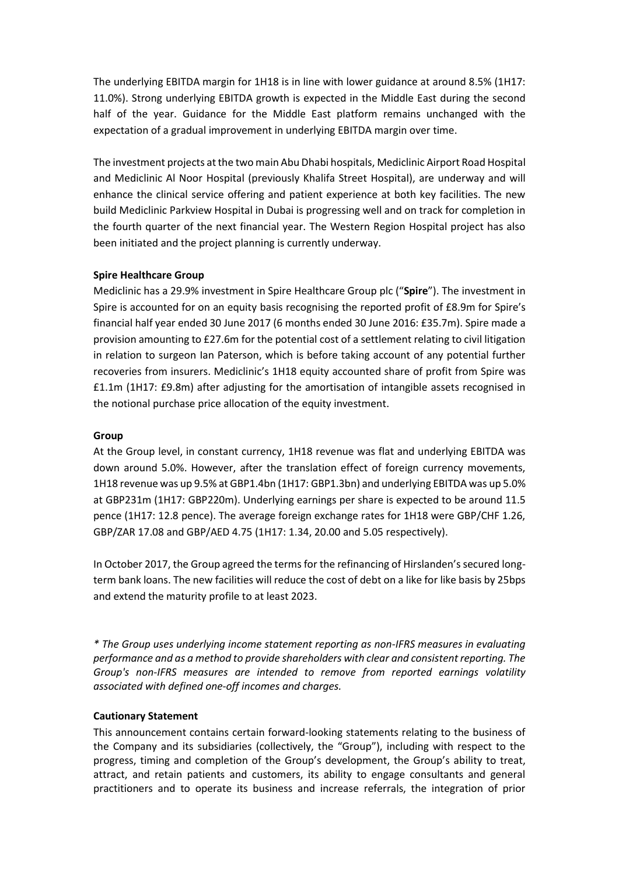The underlying EBITDA margin for 1H18 is in line with lower guidance at around 8.5% (1H17: 11.0%). Strong underlying EBITDA growth is expected in the Middle East during the second half of the year. Guidance for the Middle East platform remains unchanged with the expectation of a gradual improvement in underlying EBITDA margin over time.

The investment projects at the two main Abu Dhabi hospitals, Mediclinic Airport Road Hospital and Mediclinic Al Noor Hospital (previously Khalifa Street Hospital), are underway and will enhance the clinical service offering and patient experience at both key facilities. The new build Mediclinic Parkview Hospital in Dubai is progressing well and on track for completion in the fourth quarter of the next financial year. The Western Region Hospital project has also been initiated and the project planning is currently underway.

## **Spire Healthcare Group**

Mediclinic has a 29.9% investment in Spire Healthcare Group plc ("**Spire**"). The investment in Spire is accounted for on an equity basis recognising the reported profit of £8.9m for Spire's financial half year ended 30 June 2017 (6 months ended 30 June 2016: £35.7m). Spire made a provision amounting to £27.6m for the potential cost of a settlement relating to civil litigation in relation to surgeon Ian Paterson, which is before taking account of any potential further recoveries from insurers. Mediclinic's 1H18 equity accounted share of profit from Spire was £1.1m (1H17: £9.8m) after adjusting for the amortisation of intangible assets recognised in the notional purchase price allocation of the equity investment.

# **Group**

At the Group level, in constant currency, 1H18 revenue was flat and underlying EBITDA was down around 5.0%. However, after the translation effect of foreign currency movements, 1H18 revenue was up 9.5% at GBP1.4bn (1H17: GBP1.3bn) and underlying EBITDA was up 5.0% at GBP231m (1H17: GBP220m). Underlying earnings per share is expected to be around 11.5 pence (1H17: 12.8 pence). The average foreign exchange rates for 1H18 were GBP/CHF 1.26, GBP/ZAR 17.08 and GBP/AED 4.75 (1H17: 1.34, 20.00 and 5.05 respectively).

In October 2017, the Group agreed the terms for the refinancing of Hirslanden's secured longterm bank loans. The new facilities will reduce the cost of debt on a like for like basis by 25bps and extend the maturity profile to at least 2023.

*\* The Group uses underlying income statement reporting as non-IFRS measures in evaluating performance and as a method to provide shareholders with clear and consistent reporting. The Group's non-IFRS measures are intended to remove from reported earnings volatility associated with defined one-off incomes and charges.*

## **Cautionary Statement**

This announcement contains certain forward-looking statements relating to the business of the Company and its subsidiaries (collectively, the "Group"), including with respect to the progress, timing and completion of the Group's development, the Group's ability to treat, attract, and retain patients and customers, its ability to engage consultants and general practitioners and to operate its business and increase referrals, the integration of prior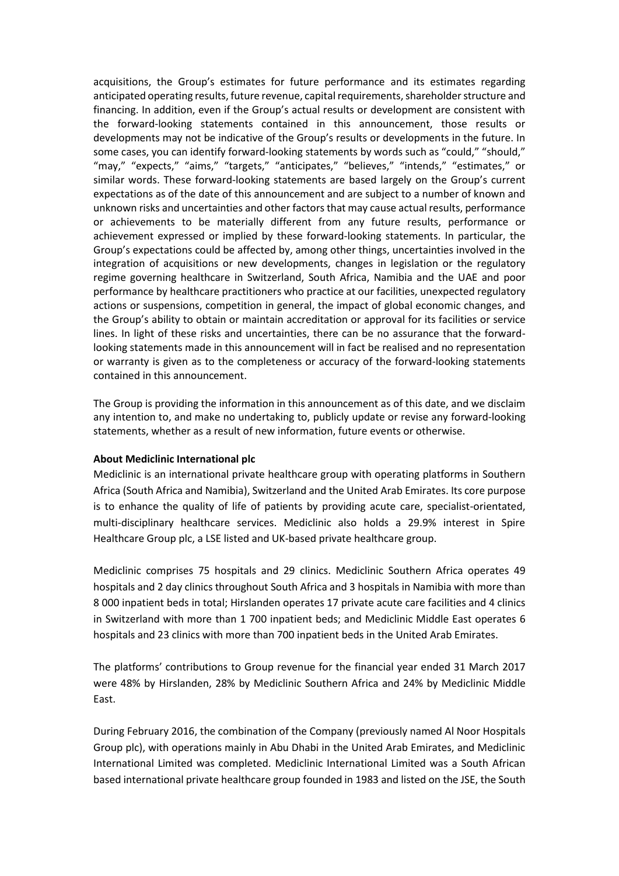acquisitions, the Group's estimates for future performance and its estimates regarding anticipated operating results, future revenue, capital requirements, shareholder structure and financing. In addition, even if the Group's actual results or development are consistent with the forward-looking statements contained in this announcement, those results or developments may not be indicative of the Group's results or developments in the future. In some cases, you can identify forward-looking statements by words such as "could," "should," "may," "expects," "aims," "targets," "anticipates," "believes," "intends," "estimates," or similar words. These forward-looking statements are based largely on the Group's current expectations as of the date of this announcement and are subject to a number of known and unknown risks and uncertainties and other factors that may cause actual results, performance or achievements to be materially different from any future results, performance or achievement expressed or implied by these forward-looking statements. In particular, the Group's expectations could be affected by, among other things, uncertainties involved in the integration of acquisitions or new developments, changes in legislation or the regulatory regime governing healthcare in Switzerland, South Africa, Namibia and the UAE and poor performance by healthcare practitioners who practice at our facilities, unexpected regulatory actions or suspensions, competition in general, the impact of global economic changes, and the Group's ability to obtain or maintain accreditation or approval for its facilities or service lines. In light of these risks and uncertainties, there can be no assurance that the forwardlooking statements made in this announcement will in fact be realised and no representation or warranty is given as to the completeness or accuracy of the forward-looking statements contained in this announcement.

The Group is providing the information in this announcement as of this date, and we disclaim any intention to, and make no undertaking to, publicly update or revise any forward-looking statements, whether as a result of new information, future events or otherwise.

#### **About Mediclinic International plc**

Mediclinic is an international private healthcare group with operating platforms in Southern Africa (South Africa and Namibia), Switzerland and the United Arab Emirates. Its core purpose is to enhance the quality of life of patients by providing acute care, specialist-orientated, multi-disciplinary healthcare services. Mediclinic also holds a 29.9% interest in Spire Healthcare Group plc, a LSE listed and UK-based private healthcare group.

Mediclinic comprises 75 hospitals and 29 clinics. Mediclinic Southern Africa operates 49 hospitals and 2 day clinics throughout South Africa and 3 hospitals in Namibia with more than 8 000 inpatient beds in total; Hirslanden operates 17 private acute care facilities and 4 clinics in Switzerland with more than 1 700 inpatient beds; and Mediclinic Middle East operates 6 hospitals and 23 clinics with more than 700 inpatient beds in the United Arab Emirates.

The platforms' contributions to Group revenue for the financial year ended 31 March 2017 were 48% by Hirslanden, 28% by Mediclinic Southern Africa and 24% by Mediclinic Middle East.

During February 2016, the combination of the Company (previously named Al Noor Hospitals Group plc), with operations mainly in Abu Dhabi in the United Arab Emirates, and Mediclinic International Limited was completed. Mediclinic International Limited was a South African based international private healthcare group founded in 1983 and listed on the JSE, the South